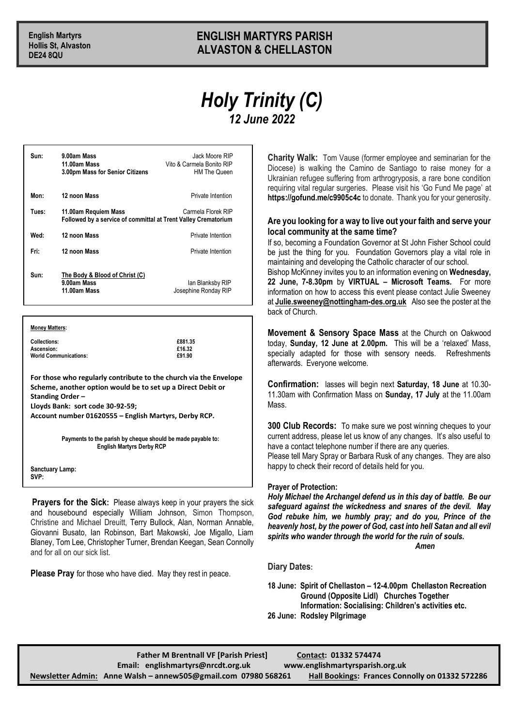## **English Martyrs ENGLISH MARTYRS PARISH Hollis St, Alvaston ALVASTON & CHELLASTON**

## *Holy Trinity (C) 12 June 2022*

| 9.00am Mass<br>11.00am Mass<br>3.00pm Mass for Senior Citizens                                               | Jack Moore RIP<br>Vito & Carmela Bonito RIP<br><b>HM The Queen</b> |
|--------------------------------------------------------------------------------------------------------------|--------------------------------------------------------------------|
| 12 noon Mass                                                                                                 | Private Intention                                                  |
| Carmela Florek RIP<br>11.00am Requiem Mass<br>Followed by a service of committal at Trent Valley Crematorium |                                                                    |
| 12 noon Mass                                                                                                 | Private Intention                                                  |
| 12 noon Mass                                                                                                 | Private Intention                                                  |
| The Body & Blood of Christ (C)<br>9.00am Mass<br>11.00am Mass                                                | lan Blanksby RIP<br>Josephine Ronday RIP                           |
|                                                                                                              |                                                                    |

**Money Matters:**

**Collections: £881.35** Ascension: **Example 28 and 28 and 28 and 28 and 28 and 28 and 28 and 28 and 28 and 28 and 28 and 28 and 28 and 2**<br> **Example 28 and 28 and 28 and 28 and 28 and 28 and 28 and 28 and 28 and 28 and 28 and 28 and 28 and 28 and World Communications:** 

**For those who regularly contribute to the church via the Envelope Scheme, another option would be to set up a Direct Debit or Standing Order –**

**Lloyds Bank: sort code 30-92-59;** 

**Account number 01620555 – English Martyrs, Derby RCP.**

**Payments to the parish by cheque should be made payable to: English Martyrs Derby RCP**

**Sanctuary Lamp: SVP:** 

**Prayers for the Sick:** Please always keep in your prayers the sick and housebound especially William Johnson, Simon Thompson, Christine and Michael Dreuitt, Terry Bullock, Alan, Norman Annable, Giovanni Busato, Ian Robinson, Bart Makowski, Joe Migallo, Liam Blaney, Tom Lee, Christopher Turner, Brendan Keegan, Sean Connolly and for all on our sick list.

**Please Pray** for those who have died. May they rest in peace.

**Charity Walk:** Tom Vause (former employee and seminarian for the Diocese) is walking the Camino de Santiago to raise money for a Ukrainian refugee suffering from arthrogryposis, a rare bone condition requiring vital regular surgeries. Please visit his 'Go Fund Me page' at **https://gofund.me/c9905c4c** to donate. Thank you for your generosity.

## **Are you looking for a way to live out your faith and serve your local community at the same time?**

If so, becoming a Foundation Governor at St John Fisher School could be just the thing for you. Foundation Governors play a vital role in maintaining and developing the Catholic character of our school.

Bishop McKinney invites you to an information evening on **Wednesday, 22 June, 7-8.30pm** by **VIRTUAL – Microsoft Teams.** For more information on how to access this event please contact Julie Sweeney at **[Julie.sweeney@nottingham-des.org.uk](mailto:Julie.sweeney@nottingham-des.org.uk)** Also see the poster at the back of Church.

**Movement & Sensory Space Mass** at the Church on Oakwood today, **Sunday, 12 June at 2.00pm.** This will be a 'relaxed' Mass, specially adapted for those with sensory needs. Refreshments afterwards. Everyone welcome.

**Confirmation:** lasses will begin next **Saturday, 18 June** at 10.30- 11.30am with Confirmation Mass on **Sunday, 17 July** at the 11.00am Mass.

**300 Club Records:** To make sure we post winning cheques to your current address, please let us know of any changes. It's also useful to have a contact telephone number if there are any queries. Please tell Mary Spray or Barbara Rusk of any changes. They are also happy to check their record of details held for you.

## **Prayer of Protection:**

*Holy Michael the Archangel defend us in this day of battle. Be our safeguard against the wickedness and snares of the devil. May God rebuke him, we humbly pray; and do you, Prince of the heavenly host, by the power of God, cast into hell Satan and all evil spirits who wander through the world for the ruin of souls. Amen*

**Diary Dates:**

**18 June: Spirit of Chellaston – 12-4.00pm Chellaston Recreation Ground (Opposite Lidl) Churches Together Information: Socialising: Children's activities etc. 26 June: Rodsley Pilgrimage**

| <b>Father M Brentnall VF [Parish Priest]</b>                    | Contact: 01332 574474                                  |
|-----------------------------------------------------------------|--------------------------------------------------------|
| Email: englishmartyrs@nrcdt.org.uk                              | www.englishmartyrsparish.org.uk                        |
| Newsletter Admin: Anne Walsh - annew 505@gmail.com 07980 568261 | <b>Hall Bookings: Frances Connolly on 01332 572286</b> |